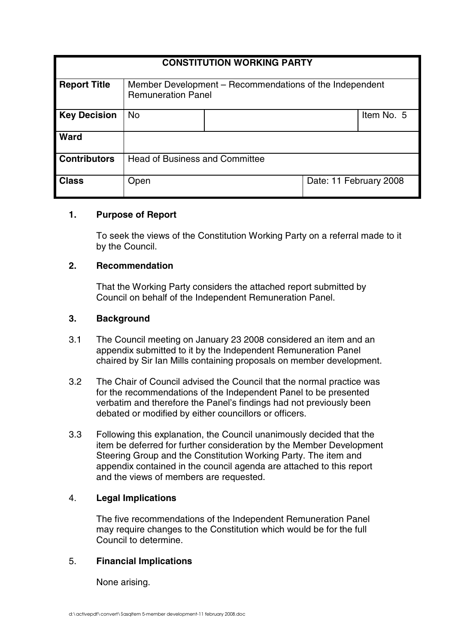| <b>CONSTITUTION WORKING PARTY</b> |                                                                                      |  |                        |            |
|-----------------------------------|--------------------------------------------------------------------------------------|--|------------------------|------------|
| <b>Report Title</b>               | Member Development – Recommendations of the Independent<br><b>Remuneration Panel</b> |  |                        |            |
| <b>Key Decision</b>               | <b>No</b>                                                                            |  |                        | Item No. 5 |
| Ward                              |                                                                                      |  |                        |            |
| <b>Contributors</b>               | <b>Head of Business and Committee</b>                                                |  |                        |            |
| <b>Class</b>                      | Open                                                                                 |  | Date: 11 February 2008 |            |

## **1. Purpose of Report**

To seek the views of the Constitution Working Party on a referral made to it by the Council.

## **2. Recommendation**

That the Working Party considers the attached report submitted by Council on behalf of the Independent Remuneration Panel.

### **3. Background**

- 3.1 The Council meeting on January 23 2008 considered an item and an appendix submitted to it by the Independent Remuneration Panel chaired by Sir Ian Mills containing proposals on member development.
- 3.2 The Chair of Council advised the Council that the normal practice was for the recommendations of the Independent Panel to be presented verbatim and therefore the Panel's findings had not previously been debated or modified by either councillors or officers.
- 3.3 Following this explanation, the Council unanimously decided that the item be deferred for further consideration by the Member Development Steering Group and the Constitution Working Party. The item and appendix contained in the council agenda are attached to this report and the views of members are requested.

#### 4. **Legal Implications**

The five recommendations of the Independent Remuneration Panel may require changes to the Constitution which would be for the full Council to determine.

## 5. **Financial Implications**

None arising.